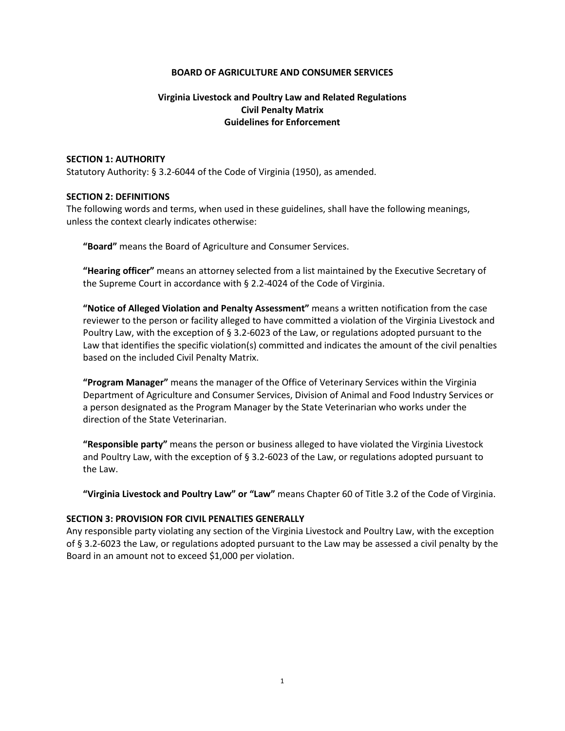### **BOARD OF AGRICULTURE AND CONSUMER SERVICES**

# **Virginia Livestock and Poultry Law and Related Regulations Civil Penalty Matrix Guidelines for Enforcement**

#### **SECTION 1: AUTHORITY**

Statutory Authority: § 3.2-6044 of the Code of Virginia (1950), as amended.

### **SECTION 2: DEFINITIONS**

The following words and terms, when used in these guidelines, shall have the following meanings, unless the context clearly indicates otherwise:

**"Board"** means the Board of Agriculture and Consumer Services.

**"Hearing officer"** means an attorney selected from a list maintained by the Executive Secretary of the Supreme Court in accordance with § 2.2-4024 of the Code of Virginia.

**"Notice of Alleged Violation and Penalty Assessment"** means a written notification from the case reviewer to the person or facility alleged to have committed a violation of the Virginia Livestock and Poultry Law, with the exception of § 3.2-6023 of the Law, or regulations adopted pursuant to the Law that identifies the specific violation(s) committed and indicates the amount of the civil penalties based on the included Civil Penalty Matrix.

**"Program Manager"** means the manager of the Office of Veterinary Services within the Virginia Department of Agriculture and Consumer Services, Division of Animal and Food Industry Services or a person designated as the Program Manager by the State Veterinarian who works under the direction of the State Veterinarian.

**"Responsible party"** means the person or business alleged to have violated the Virginia Livestock and Poultry Law, with the exception of § 3.2-6023 of the Law, or regulations adopted pursuant to the Law.

**"Virginia Livestock and Poultry Law" or "Law"** means Chapter 60 of Title 3.2 of the Code of Virginia.

#### **SECTION 3: PROVISION FOR CIVIL PENALTIES GENERALLY**

Any responsible party violating any section of the Virginia Livestock and Poultry Law, with the exception of § 3.2-6023 the Law, or regulations adopted pursuant to the Law may be assessed a civil penalty by the Board in an amount not to exceed \$1,000 per violation.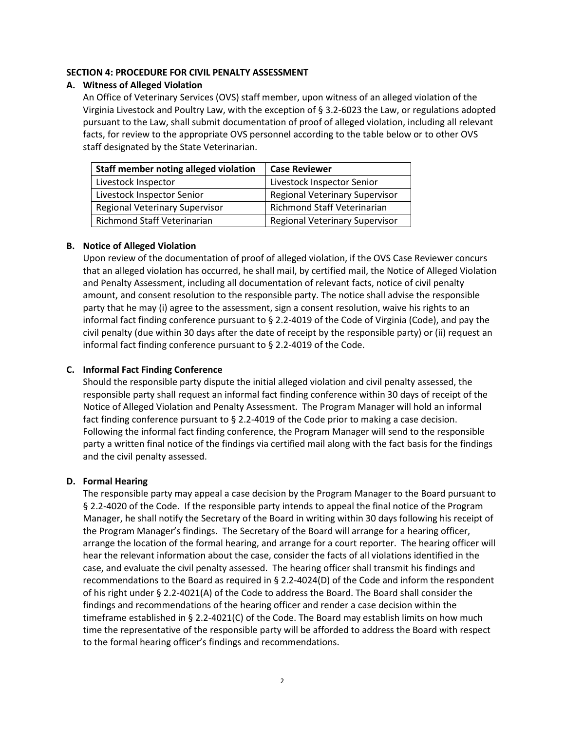## **SECTION 4: PROCEDURE FOR CIVIL PENALTY ASSESSMENT**

### **A. Witness of Alleged Violation**

An Office of Veterinary Services (OVS) staff member, upon witness of an alleged violation of the Virginia Livestock and Poultry Law, with the exception of § 3.2-6023 the Law, or regulations adopted pursuant to the Law, shall submit documentation of proof of alleged violation, including all relevant facts, for review to the appropriate OVS personnel according to the table below or to other OVS staff designated by the State Veterinarian.

| Staff member noting alleged violation | <b>Case Reviewer</b>                  |
|---------------------------------------|---------------------------------------|
| Livestock Inspector                   | Livestock Inspector Senior            |
| Livestock Inspector Senior            | <b>Regional Veterinary Supervisor</b> |
| <b>Regional Veterinary Supervisor</b> | <b>Richmond Staff Veterinarian</b>    |
| <b>Richmond Staff Veterinarian</b>    | <b>Regional Veterinary Supervisor</b> |

### **B. Notice of Alleged Violation**

Upon review of the documentation of proof of alleged violation, if the OVS Case Reviewer concurs that an alleged violation has occurred, he shall mail, by certified mail, the Notice of Alleged Violation and Penalty Assessment, including all documentation of relevant facts, notice of civil penalty amount, and consent resolution to the responsible party. The notice shall advise the responsible party that he may (i) agree to the assessment, sign a consent resolution, waive his rights to an informal fact finding conference pursuant to § 2.2-4019 of the Code of Virginia (Code), and pay the civil penalty (due within 30 days after the date of receipt by the responsible party) or (ii) request an informal fact finding conference pursuant to § 2.2-4019 of the Code.

## **C. Informal Fact Finding Conference**

Should the responsible party dispute the initial alleged violation and civil penalty assessed, the responsible party shall request an informal fact finding conference within 30 days of receipt of the Notice of Alleged Violation and Penalty Assessment. The Program Manager will hold an informal fact finding conference pursuant to § 2.2-4019 of the Code prior to making a case decision. Following the informal fact finding conference, the Program Manager will send to the responsible party a written final notice of the findings via certified mail along with the fact basis for the findings and the civil penalty assessed.

#### **D. Formal Hearing**

The responsible party may appeal a case decision by the Program Manager to the Board pursuant to § 2.2-4020 of the Code. If the responsible party intends to appeal the final notice of the Program Manager, he shall notify the Secretary of the Board in writing within 30 days following his receipt of the Program Manager's findings. The Secretary of the Board will arrange for a hearing officer, arrange the location of the formal hearing, and arrange for a court reporter. The hearing officer will hear the relevant information about the case, consider the facts of all violations identified in the case, and evaluate the civil penalty assessed. The hearing officer shall transmit his findings and recommendations to the Board as required in § 2.2-4024(D) of the Code and inform the respondent of his right under § 2.2-4021(A) of the Code to address the Board. The Board shall consider the findings and recommendations of the hearing officer and render a case decision within the timeframe established in § 2.2-4021(C) of the Code. The Board may establish limits on how much time the representative of the responsible party will be afforded to address the Board with respect to the formal hearing officer's findings and recommendations.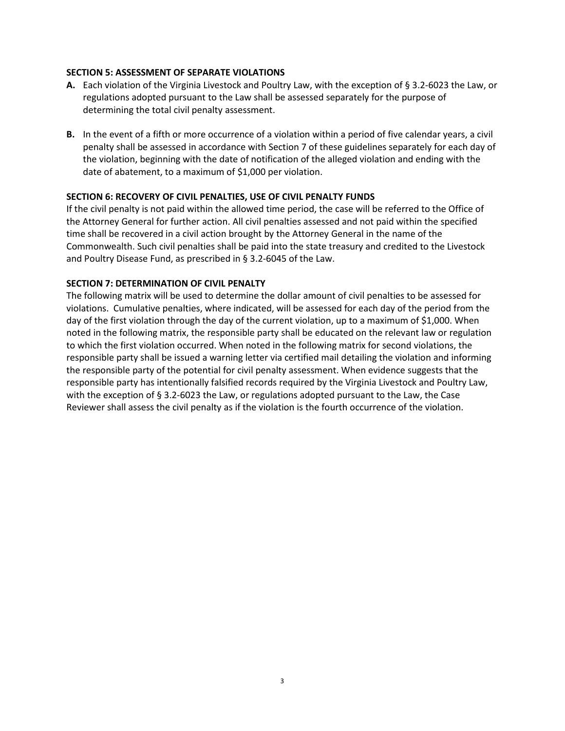## **SECTION 5: ASSESSMENT OF SEPARATE VIOLATIONS**

- **A.** Each violation of the Virginia Livestock and Poultry Law, with the exception of § 3.2-6023 the Law, or regulations adopted pursuant to the Law shall be assessed separately for the purpose of determining the total civil penalty assessment.
- **B.** In the event of a fifth or more occurrence of a violation within a period of five calendar years, a civil penalty shall be assessed in accordance with Section 7 of these guidelines separately for each day of the violation, beginning with the date of notification of the alleged violation and ending with the date of abatement, to a maximum of \$1,000 per violation.

## **SECTION 6: RECOVERY OF CIVIL PENALTIES, USE OF CIVIL PENALTY FUNDS**

If the civil penalty is not paid within the allowed time period, the case will be referred to the Office of the Attorney General for further action. All civil penalties assessed and not paid within the specified time shall be recovered in a civil action brought by the Attorney General in the name of the Commonwealth. Such civil penalties shall be paid into the state treasury and credited to the Livestock and Poultry Disease Fund, as prescribed in § 3.2-6045 of the Law.

# **SECTION 7: DETERMINATION OF CIVIL PENALTY**

The following matrix will be used to determine the dollar amount of civil penalties to be assessed for violations. Cumulative penalties, where indicated, will be assessed for each day of the period from the day of the first violation through the day of the current violation, up to a maximum of \$1,000. When noted in the following matrix, the responsible party shall be educated on the relevant law or regulation to which the first violation occurred. When noted in the following matrix for second violations, the responsible party shall be issued a warning letter via certified mail detailing the violation and informing the responsible party of the potential for civil penalty assessment. When evidence suggests that the responsible party has intentionally falsified records required by the Virginia Livestock and Poultry Law, with the exception of § 3.2-6023 the Law, or regulations adopted pursuant to the Law, the Case Reviewer shall assess the civil penalty as if the violation is the fourth occurrence of the violation.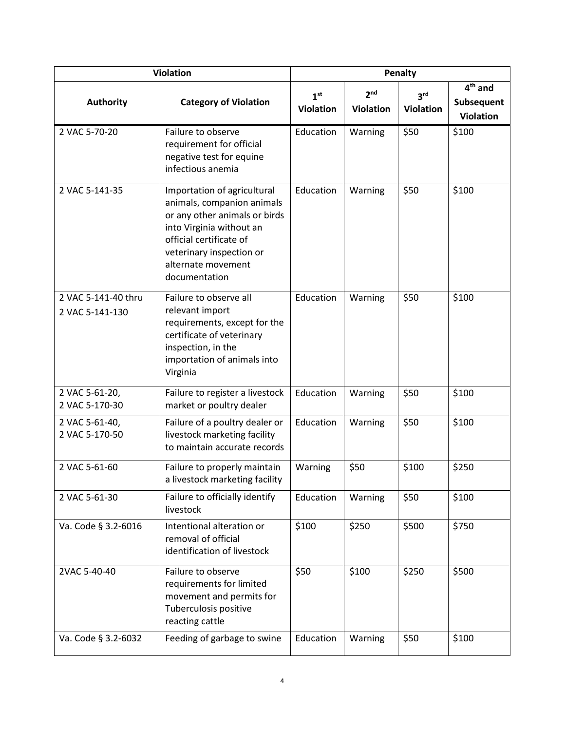| <b>Violation</b>                       |                                                                                                                                                                                                                      | Penalty                             |                                     |                                     |                                             |
|----------------------------------------|----------------------------------------------------------------------------------------------------------------------------------------------------------------------------------------------------------------------|-------------------------------------|-------------------------------------|-------------------------------------|---------------------------------------------|
| <b>Authority</b>                       | <b>Category of Violation</b>                                                                                                                                                                                         | 1 <sup>st</sup><br><b>Violation</b> | 2 <sup>nd</sup><br><b>Violation</b> | 3 <sup>rd</sup><br><b>Violation</b> | $4th$ and<br>Subsequent<br><b>Violation</b> |
| 2 VAC 5-70-20                          | Failure to observe<br>requirement for official<br>negative test for equine<br>infectious anemia                                                                                                                      | Education                           | Warning                             | \$50                                | \$100                                       |
| 2 VAC 5-141-35                         | Importation of agricultural<br>animals, companion animals<br>or any other animals or birds<br>into Virginia without an<br>official certificate of<br>veterinary inspection or<br>alternate movement<br>documentation | Education                           | Warning                             | \$50                                | \$100                                       |
| 2 VAC 5-141-40 thru<br>2 VAC 5-141-130 | Failure to observe all<br>relevant import<br>requirements, except for the<br>certificate of veterinary<br>inspection, in the<br>importation of animals into<br>Virginia                                              | Education                           | Warning                             | \$50                                | \$100                                       |
| 2 VAC 5-61-20,<br>2 VAC 5-170-30       | Failure to register a livestock<br>market or poultry dealer                                                                                                                                                          | Education                           | Warning                             | \$50                                | \$100                                       |
| 2 VAC 5-61-40,<br>2 VAC 5-170-50       | Failure of a poultry dealer or<br>livestock marketing facility<br>to maintain accurate records                                                                                                                       | Education                           | Warning                             | \$50                                | \$100                                       |
| 2 VAC 5-61-60                          | Failure to properly maintain<br>a livestock marketing facility                                                                                                                                                       | Warning                             | \$50                                | \$100                               | \$250                                       |
| 2 VAC 5-61-30                          | Failure to officially identify<br>livestock                                                                                                                                                                          | Education                           | Warning                             | \$50                                | \$100                                       |
| Va. Code § 3.2-6016                    | Intentional alteration or<br>removal of official<br>identification of livestock                                                                                                                                      | \$100                               | \$250                               | \$500                               | \$750                                       |
| 2VAC 5-40-40                           | Failure to observe<br>requirements for limited<br>movement and permits for<br>Tuberculosis positive<br>reacting cattle                                                                                               | \$50                                | \$100                               | \$250                               | \$500                                       |
| Va. Code § 3.2-6032                    | Feeding of garbage to swine                                                                                                                                                                                          | Education                           | Warning                             | \$50                                | \$100                                       |